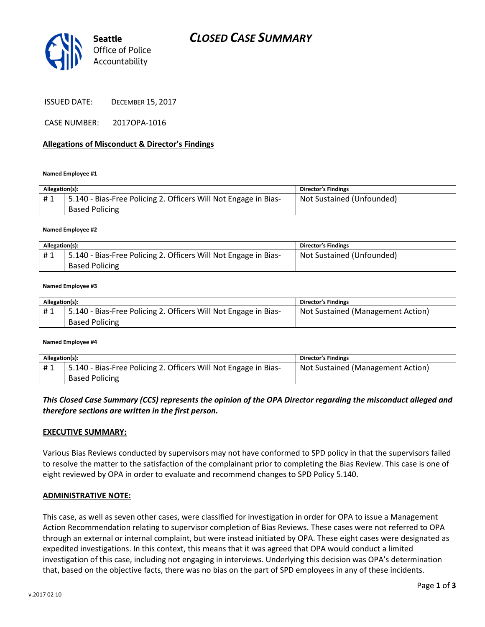

CASE NUMBER: 2017OPA-1016

### Allegations of Misconduct & Director's Findings

#### Named Employee #1

| Allegation(s): |                                                                                          | <b>Director's Findings</b> |
|----------------|------------------------------------------------------------------------------------------|----------------------------|
| #1             | 5.140 - Bias-Free Policing 2. Officers Will Not Engage in Bias-<br><b>Based Policing</b> | Not Sustained (Unfounded)  |

#### Named Employee #2

| Allegation(s): |                                                                 | <b>Director's Findings</b> |
|----------------|-----------------------------------------------------------------|----------------------------|
| #1             | 5.140 - Bias-Free Policing 2. Officers Will Not Engage in Bias- | Not Sustained (Unfounded)  |
|                | <b>Based Policing</b>                                           |                            |

#### Named Employee #3

| Allegation(s): |                                                                 | <b>Director's Findings</b>        |
|----------------|-----------------------------------------------------------------|-----------------------------------|
|                | 5.140 - Bias-Free Policing 2. Officers Will Not Engage in Bias- | Not Sustained (Management Action) |
|                | <b>Based Policing</b>                                           |                                   |

#### Named Employee #4

| Allegation(s): |                                                                 | <b>Director's Findings</b>        |
|----------------|-----------------------------------------------------------------|-----------------------------------|
|                | 5.140 - Bias-Free Policing 2. Officers Will Not Engage in Bias- | Not Sustained (Management Action) |
|                | <b>Based Policing</b>                                           |                                   |

## This Closed Case Summary (CCS) represents the opinion of the OPA Director regarding the misconduct alleged and therefore sections are written in the first person.

#### EXECUTIVE SUMMARY:

Various Bias Reviews conducted by supervisors may not have conformed to SPD policy in that the supervisors failed to resolve the matter to the satisfaction of the complainant prior to completing the Bias Review. This case is one of eight reviewed by OPA in order to evaluate and recommend changes to SPD Policy 5.140.

#### ADMINISTRATIVE NOTE:

This case, as well as seven other cases, were classified for investigation in order for OPA to issue a Management Action Recommendation relating to supervisor completion of Bias Reviews. These cases were not referred to OPA through an external or internal complaint, but were instead initiated by OPA. These eight cases were designated as expedited investigations. In this context, this means that it was agreed that OPA would conduct a limited investigation of this case, including not engaging in interviews. Underlying this decision was OPA's determination that, based on the objective facts, there was no bias on the part of SPD employees in any of these incidents.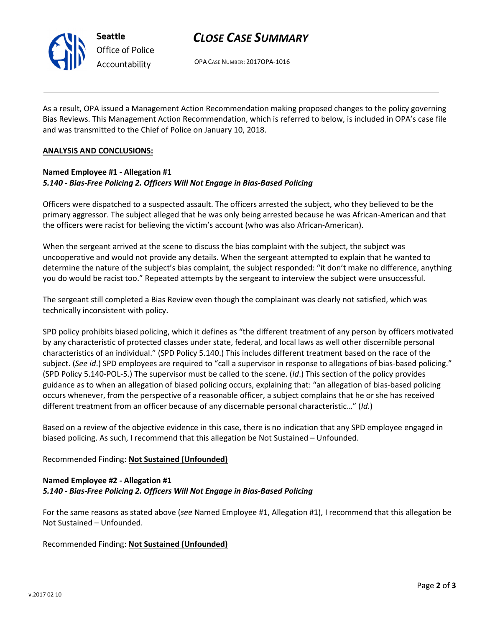

# CLOSE CASE SUMMARY

OPA CASE NUMBER: 2017OPA-1016

As a result, OPA issued a Management Action Recommendation making proposed changes to the policy governing Bias Reviews. This Management Action Recommendation, which is referred to below, is included in OPA's case file and was transmitted to the Chief of Police on January 10, 2018.

### ANALYSIS AND CONCLUSIONS:

## Named Employee #1 - Allegation #1 5.140 - Bias-Free Policing 2. Officers Will Not Engage in Bias-Based Policing

Officers were dispatched to a suspected assault. The officers arrested the subject, who they believed to be the primary aggressor. The subject alleged that he was only being arrested because he was African-American and that the officers were racist for believing the victim's account (who was also African-American).

When the sergeant arrived at the scene to discuss the bias complaint with the subject, the subject was uncooperative and would not provide any details. When the sergeant attempted to explain that he wanted to determine the nature of the subject's bias complaint, the subject responded: "it don't make no difference, anything you do would be racist too." Repeated attempts by the sergeant to interview the subject were unsuccessful.

The sergeant still completed a Bias Review even though the complainant was clearly not satisfied, which was technically inconsistent with policy.

SPD policy prohibits biased policing, which it defines as "the different treatment of any person by officers motivated by any characteristic of protected classes under state, federal, and local laws as well other discernible personal characteristics of an individual." (SPD Policy 5.140.) This includes different treatment based on the race of the subject. (See id.) SPD employees are required to "call a supervisor in response to allegations of bias-based policing." (SPD Policy 5.140-POL-5.) The supervisor must be called to the scene. (Id.) This section of the policy provides guidance as to when an allegation of biased policing occurs, explaining that: "an allegation of bias-based policing occurs whenever, from the perspective of a reasonable officer, a subject complains that he or she has received different treatment from an officer because of any discernable personal characteristic..." (Id.)

Based on a review of the objective evidence in this case, there is no indication that any SPD employee engaged in biased policing. As such, I recommend that this allegation be Not Sustained – Unfounded.

## Recommended Finding: Not Sustained (Unfounded)

# Named Employee #2 - Allegation #1 5.140 - Bias-Free Policing 2. Officers Will Not Engage in Bias-Based Policing

For the same reasons as stated above (see Named Employee #1, Allegation #1), I recommend that this allegation be Not Sustained – Unfounded.

Recommended Finding: Not Sustained (Unfounded)